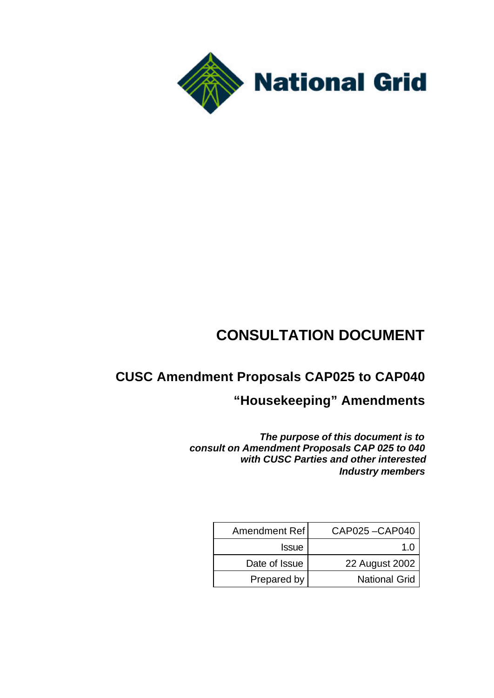

# **CONSULTATION DOCUMENT**

## **CUSC Amendment Proposals CAP025 to CAP040**

## **"Housekeeping" Amendments**

*The purpose of this document is to consult on Amendment Proposals CAP 025 to 040 with CUSC Parties and other interested Industry members*

| Amendment Ref | CAP025-CAP040        |
|---------------|----------------------|
| <b>Issue</b>  | 1 በ                  |
| Date of Issue | 22 August 2002       |
| Prepared by   | <b>National Grid</b> |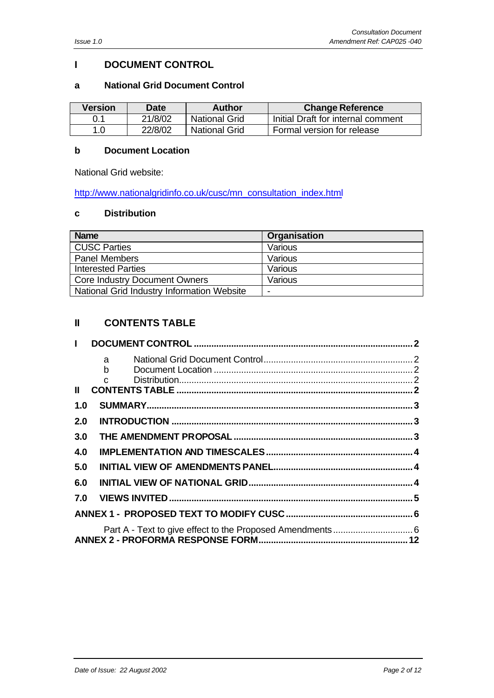## **I DOCUMENT CONTROL**

#### **a National Grid Document Control**

| <b>Version</b> | <b>Date</b> | Author               | <b>Change Reference</b>            |
|----------------|-------------|----------------------|------------------------------------|
|                | 21/8/02     | <b>National Grid</b> | Initial Draft for internal comment |
| 1.0            | 22/8/02     | National Grid        | Formal version for release         |

#### **b Document Location**

National Grid website:

http://www.nationalgridinfo.co.uk/cusc/mn\_consultation\_index.html

#### **c Distribution**

| <b>Name</b>                                | Organisation |
|--------------------------------------------|--------------|
| <b>CUSC Parties</b>                        | Various      |
| <b>Panel Members</b>                       | Various      |
| <b>Interested Parties</b>                  | Various      |
| <b>Core Industry Document Owners</b>       | Various      |
| National Grid Industry Information Website |              |

## **II CONTENTS TABLE**

| $\mathbf{L}$  |            |  |
|---------------|------------|--|
|               | $a \qquad$ |  |
|               |            |  |
| $\mathbf{II}$ |            |  |
| 1.0           |            |  |
| 2.0           |            |  |
| 3.0           |            |  |
| 4.0           |            |  |
| 5.0           |            |  |
| 6.0           |            |  |
|               |            |  |
|               |            |  |
|               |            |  |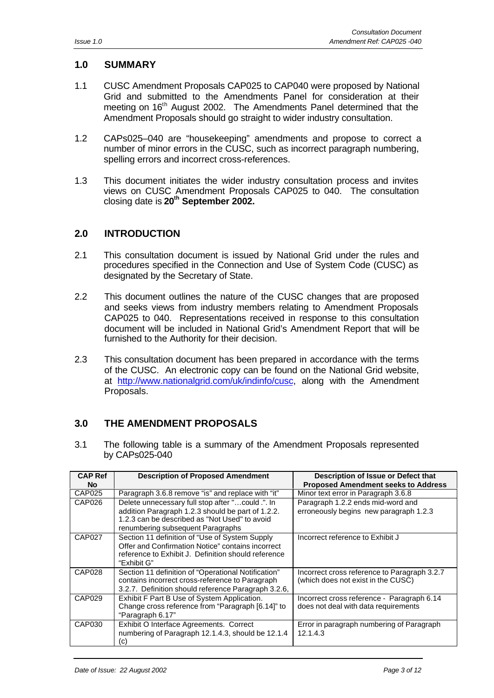## **1.0 SUMMARY**

- 1.1 CUSC Amendment Proposals CAP025 to CAP040 were proposed by National Grid and submitted to the Amendments Panel for consideration at their meeting on 16<sup>th</sup> August 2002. The Amendments Panel determined that the Amendment Proposals should go straight to wider industry consultation.
- 1.2 CAPs025–040 are "housekeeping" amendments and propose to correct a number of minor errors in the CUSC, such as incorrect paragraph numbering, spelling errors and incorrect cross-references.
- 1.3 This document initiates the wider industry consultation process and invites views on CUSC Amendment Proposals CAP025 to 040. The consultation closing date is **20th September 2002.**

#### **2.0 INTRODUCTION**

- 2.1 This consultation document is issued by National Grid under the rules and procedures specified in the Connection and Use of System Code (CUSC) as designated by the Secretary of State.
- 2.2 This document outlines the nature of the CUSC changes that are proposed and seeks views from industry members relating to Amendment Proposals CAP025 to 040. Representations received in response to this consultation document will be included in National Grid's Amendment Report that will be furnished to the Authority for their decision.
- 2.3 This consultation document has been prepared in accordance with the terms of the CUSC. An electronic copy can be found on the National Grid website, at http://www.nationalgrid.com/uk/indinfo/cusc, along with the Amendment Proposals.

### **3.0 THE AMENDMENT PROPOSALS**

3.1 The following table is a summary of the Amendment Proposals represented by CAPs025-040

| <b>CAP Ref</b><br>No | <b>Description of Proposed Amendment</b>                                                                                                                                                    | Description of Issue or Defect that<br><b>Proposed Amendment seeks to Address</b>  |  |
|----------------------|---------------------------------------------------------------------------------------------------------------------------------------------------------------------------------------------|------------------------------------------------------------------------------------|--|
| CAP025               | Paragraph 3.6.8 remove "is" and replace with "it"                                                                                                                                           | Minor text error in Paragraph 3.6.8                                                |  |
| CAP026               | Delete unnecessary full stop after "could .". In<br>addition Paragraph 1.2.3 should be part of 1.2.2.<br>1.2.3 can be described as "Not Used" to avoid<br>renumbering subsequent Paragraphs | Paragraph 1.2.2 ends mid-word and<br>erroneously begins new paragraph 1.2.3        |  |
| <b>CAP027</b>        | Section 11 definition of "Use of System Supply<br>Offer and Confirmation Notice" contains incorrect<br>reference to Exhibit J. Definition should reference<br>"Exhibit G"                   | Incorrect reference to Exhibit J                                                   |  |
| CAP028               | Section 11 definition of "Operational Notification"<br>contains incorrect cross-reference to Paragraph<br>3.2.7. Definition should reference Paragraph 3.2.6,                               | Incorrect cross reference to Paragraph 3.2.7<br>(which does not exist in the CUSC) |  |
| CAP029               | Exhibit F Part B Use of System Application.<br>Change cross reference from "Paragraph [6.14]" to<br>"Paragraph 6.17"                                                                        | Incorrect cross reference - Paragraph 6.14<br>does not deal with data requirements |  |
| CAP030               | Exhibit O Interface Agreements. Correct<br>numbering of Paragraph 12.1.4.3, should be 12.1.4<br>(c)                                                                                         | Error in paragraph numbering of Paragraph<br>12.1.4.3                              |  |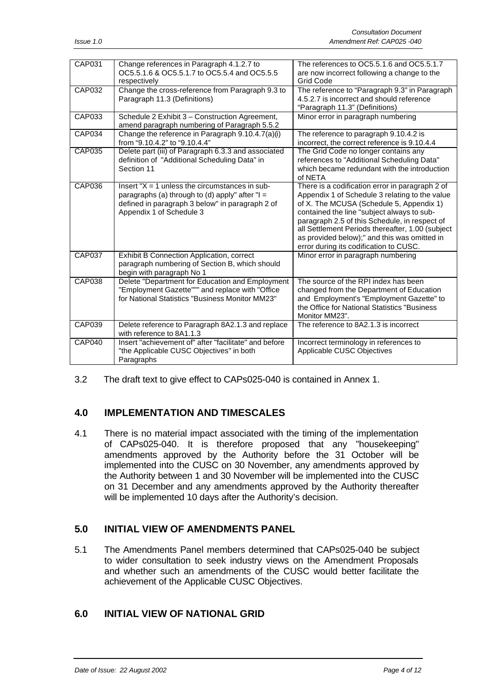| <b>CAP031</b> | Change references in Paragraph 4.1.2.7 to<br>OC5.5.1.6 & OC5.5.1.7 to OC5.5.4 and OC5.5.5<br>respectively                                                                              | The references to OC5.5.1.6 and OC5.5.1.7<br>are now incorrect following a change to the<br><b>Grid Code</b>                                                                                                                                                                                                                                                                               |
|---------------|----------------------------------------------------------------------------------------------------------------------------------------------------------------------------------------|--------------------------------------------------------------------------------------------------------------------------------------------------------------------------------------------------------------------------------------------------------------------------------------------------------------------------------------------------------------------------------------------|
| CAP032        | Change the cross-reference from Paragraph 9.3 to<br>Paragraph 11.3 (Definitions)                                                                                                       | The reference to "Paragraph 9.3" in Paragraph<br>4.5.2.7 is incorrect and should reference<br>"Paragraph 11.3" (Definitions)                                                                                                                                                                                                                                                               |
| CAP033        | Schedule 2 Exhibit 3 - Construction Agreement,<br>amend paragraph numbering of Paragraph 5.5.2                                                                                         | Minor error in paragraph numbering                                                                                                                                                                                                                                                                                                                                                         |
| <b>CAP034</b> | Change the reference in Paragraph 9.10.4.7(a)(i)<br>from "9.10.4.2" to "9.10.4.4"                                                                                                      | The reference to paragraph 9.10.4.2 is<br>incorrect, the correct reference is 9.10.4.4                                                                                                                                                                                                                                                                                                     |
| <b>CAP035</b> | Delete part (iii) of Paragraph 6.3.3 and associated<br>definition of "Additional Scheduling Data" in<br>Section 11                                                                     | The Grid Code no longer contains any<br>references to "Additional Scheduling Data"<br>which became redundant with the introduction<br>of NETA                                                                                                                                                                                                                                              |
| <b>CAP036</b> | Insert " $X = 1$ unless the circumstances in sub-<br>paragraphs (a) through to (d) apply" after " $I =$<br>defined in paragraph 3 below" in paragraph 2 of<br>Appendix 1 of Schedule 3 | There is a codification error in paragraph 2 of<br>Appendix 1 of Schedule 3 relating to the value<br>of X. The MCUSA (Schedule 5, Appendix 1)<br>contained the line "subject always to sub-<br>paragraph 2.5 of this Schedule, in respect of<br>all Settlement Periods thereafter, 1.00 (subject<br>as provided below);" and this was omitted in<br>error during its codification to CUSC. |
| CAP037        | <b>Exhibit B Connection Application, correct</b><br>paragraph numbering of Section B, which should<br>begin with paragraph No 1                                                        | Minor error in paragraph numbering                                                                                                                                                                                                                                                                                                                                                         |
| <b>CAP038</b> | Delete "Department for Education and Employment<br>"Employment Gazette""" and replace with "Office<br>for National Statistics "Business Monitor MM23"                                  | The source of the RPI index has been<br>changed from the Department of Education<br>and Employment's "Employment Gazette" to<br>the Office for National Statistics "Business<br>Monitor MM23".                                                                                                                                                                                             |
| CAP039        | Delete reference to Paragraph 8A2.1.3 and replace<br>with reference to 8A1.1.3                                                                                                         | The reference to 8A2.1.3 is incorrect                                                                                                                                                                                                                                                                                                                                                      |
| <b>CAP040</b> | Insert "achievement of" after "facilitate" and before<br>"the Applicable CUSC Objectives" in both<br>Paragraphs                                                                        | Incorrect terminology in references to<br>Applicable CUSC Objectives                                                                                                                                                                                                                                                                                                                       |

3.2 The draft text to give effect to CAPs025-040 is contained in Annex 1.

## **4.0 IMPLEMENTATION AND TIMESCALES**

4.1 There is no material impact associated with the timing of the implementation of CAPs025-040. It is therefore proposed that any "housekeeping" amendments approved by the Authority before the 31 October will be implemented into the CUSC on 30 November, any amendments approved by the Authority between 1 and 30 November will be implemented into the CUSC on 31 December and any amendments approved by the Authority thereafter will be implemented 10 days after the Authority's decision.

### **5.0 INITIAL VIEW OF AMENDMENTS PANEL**

5.1 The Amendments Panel members determined that CAPs025-040 be subject to wider consultation to seek industry views on the Amendment Proposals and whether such an amendments of the CUSC would better facilitate the achievement of the Applicable CUSC Objectives.

## **6.0 INITIAL VIEW OF NATIONAL GRID**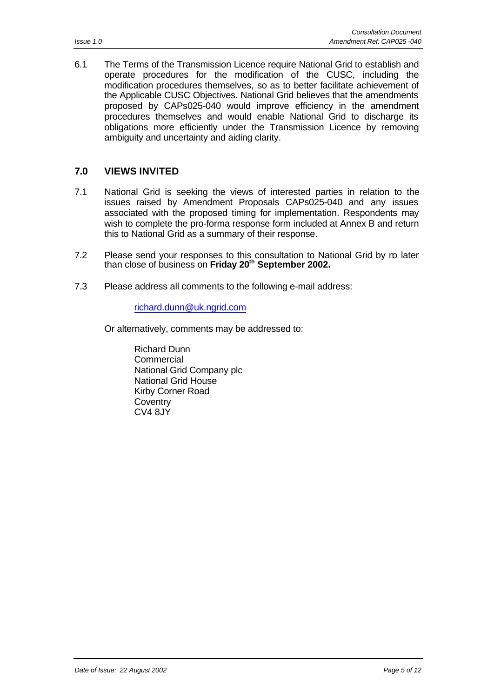6.1 The Terms of the Transmission Licence require National Grid to establish and operate procedures for the modification of the CUSC, including the modification procedures themselves, so as to better facilitate achievement of the Applicable CUSC Objectives. National Grid believes that the amendments proposed by CAPs025-040 would improve efficiency in the amendment procedures themselves and would enable National Grid to discharge its obligations more efficiently under the Transmission Licence by removing ambiguity and uncertainty and aiding clarity.

## **7.0 VIEWS INVITED**

- 7.1 National Grid is seeking the views of interested parties in relation to the issues raised by Amendment Proposals CAPs025-040 and any issues associated with the proposed timing for implementation. Respondents may wish to complete the pro-forma response form included at Annex B and return this to National Grid as a summary of their response.
- 7.2 Please send your responses to this consultation to National Grid by ro later than close of business on **Friday 20th September 2002.**
- 7.3 Please address all comments to the following e-mail address:

#### richard.dunn@uk.ngrid.com

Or alternatively, comments may be addressed to:

Richard Dunn Commercial National Grid Company plc National Grid House Kirby Corner Road **Coventry** CV4 8JY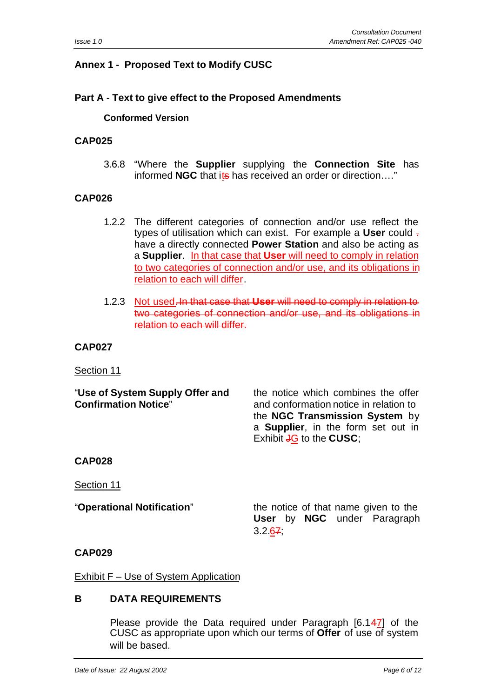## **Annex 1 - Proposed Text to Modify CUSC**

#### **Part A - Text to give effect to the Proposed Amendments**

#### **Conformed Version**

#### **CAP025**

3.6.8 "Where the **Supplier** supplying the **Connection Site** has informed **NGC** that its has received an order or direction...."

#### **CAP026**

- 1.2.2 The different categories of connection and/or use reflect the types of utilisation which can exist. For example a **User** could . have a directly connected **Power Station** and also be acting as a **Supplier**. In that case that **User** will need to comply in relation to two categories of connection and/or use, and its obligations in relation to each will differ.
- 1.2.3 Not used. In that case that **User** will need to comply in relation to two categories of connection and/or use, and its obligations in relation to each will differ.

#### **CAP027**

Section 11

"**Use of System Supply Offer and** the notice which combines the offer **Confirmation Notice**" and conformation notice in relation to the **NGC Transmission System** by a **Supplier**, in the form set out in Exhibit **J<sub>G</sub>** to the **CUSC**;

#### **CAP028**

Section 11

"**Operational Notification**" the notice of that name given to the **User** by **NGC** under Paragraph  $3.2.67$ 

#### **CAP029**

Exhibit F – Use of System Application

#### **B DATA REQUIREMENTS**

Please provide the Data required under Paragraph [6.147] of the CUSC as appropriate upon which our terms of **Offer** of use of system will be based.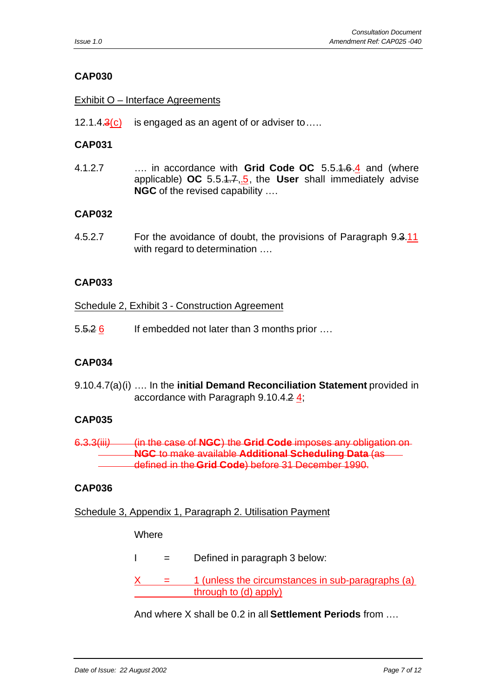### Exhibit O – Interface Agreements

12.1.4.3(c) is engaged as an agent of or adviser to.....

### **CAP031**

4.1.2.7 …. in accordance with **Grid Code OC** 5.5.1.6.4 and (where applicable) **OC** 5.5.1.7,.5, the **User** shall immediately advise **NGC** of the revised capability ….

#### **CAP032**

4.5.2.7 For the avoidance of doubt, the provisions of Paragraph 9.3.11 with regard to determination ....

#### **CAP033**

#### Schedule 2, Exhibit 3 - Construction Agreement

5.<del>5.2 6</del> If embedded not later than 3 months prior ....

#### **CAP034**

9.10.4.7(a)(i) …. In the **initial Demand Reconciliation Statement** provided in accordance with Paragraph 9.10.4.2  $\frac{4}{3}$ ;

### **CAP035**

6.3.3(iii) **(in the case of NGC) the Grid Code** imposes any **NGC** to make available **Additional Scheduling Data** (as defined in the **Grid Code**) before 31 December 1990.

#### **CAP036**

#### Schedule 3, Appendix 1, Paragraph 2. Utilisation Payment

#### **Where**

- $I =$  Defined in paragraph 3 below:
- 1 (unless the circumstances in sub-paragraphs (a) through to (d) apply)

And where X shall be 0.2 in all **Settlement Periods** from ….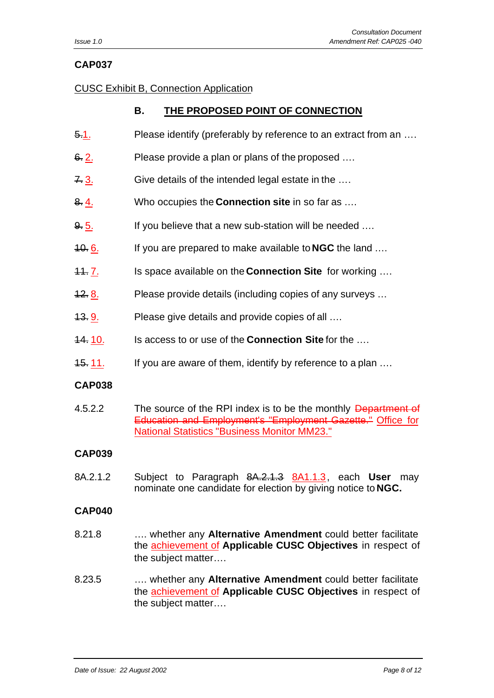#### CUSC Exhibit B, Connection Application

## **B. THE PROPOSED POINT OF CONNECTION**

- 5.1. Please identify (preferably by reference to an extract from an ….
- 6. 2. Please provide a plan or plans of the proposed ....
- 7. 3. Give details of the intended legal estate in the ...
- 8. 4. Who occupies the **Connection site** in so far as ….
- 9.5. If you believe that a new sub-station will be needed ...
- 10. 6. If you are prepared to make available to **NGC** the land ….
- 11. 7. Is space available on the **Connection Site** for working ….
- 12. 8. Please provide details (including copies of any surveys ...
- 13. 9. Please give details and provide copies of all ....
- 14. 10. Is access to or use of the **Connection Site** for the ….
- 15. 11. If you are aware of them, identify by reference to a plan ...

#### **CAP038**

4.5.2.2 The source of the RPI index is to be the monthly Department of Education and Employment's "Employment Gazette." Office for National Statistics "Business Monitor MM23."

#### **CAP039**

8A.2.1.2 Subject to Paragraph 8A.2.1.3 8A1.1.3, each **User** may nominate one candidate for election by giving notice to **NGC.**

#### **CAP040**

- 8.21.8 …. whether any **Alternative Amendment** could better facilitate the achievement of **Applicable CUSC Objectives** in respect of the subject matter….
- 8.23.5 …. whether any **Alternative Amendment** could better facilitate the achievement of **Applicable CUSC Objectives** in respect of the subject matter….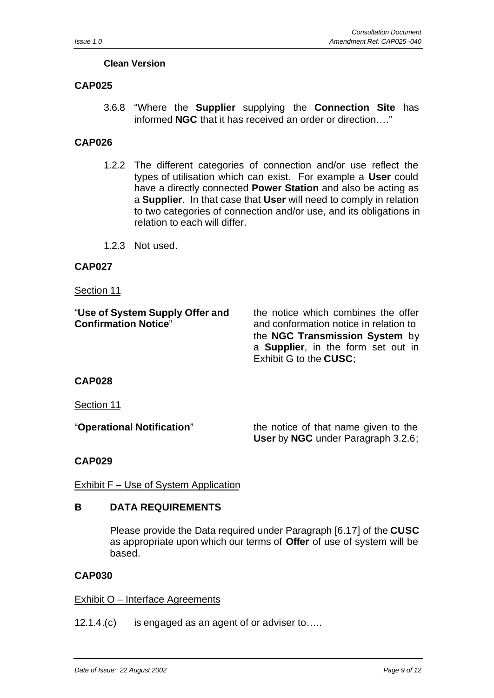## **Clean Version**

## **CAP025**

3.6.8 "Where the **Supplier** supplying the **Connection Site** has informed **NGC** that it has received an order or direction…."

## **CAP026**

- 1.2.2 The different categories of connection and/or use reflect the types of utilisation which can exist. For example a **User** could have a directly connected **Power Station** and also be acting as a **Supplier**. In that case that **User** will need to comply in relation to two categories of connection and/or use, and its obligations in relation to each will differ.
- 1.2.3 Not used.

## **CAP027**

#### Section 11

| "Use of System Supply Offer and | the notice which combines the offer        |
|---------------------------------|--------------------------------------------|
| <b>Confirmation Notice"</b>     | and conformation notice in relation to     |
|                                 | the NGC Transmission System by             |
|                                 | a <b>Supplier</b> , in the form set out in |
|                                 | Exhibit G to the CUSC:                     |

## **CAP028**

Section 11

"**Operational Notification**" the notice of that name given to the **User** by **NGC** under Paragraph 3.2.6;

## **CAP029**

Exhibit F – Use of System Application

### **B DATA REQUIREMENTS**

Please provide the Data required under Paragraph [6.17] of the **CUSC** as appropriate upon which our terms of **Offer** of use of system will be based.

### **CAP030**

### Exhibit O – Interface Agreements

12.1.4.(c) is engaged as an agent of or adviser to…..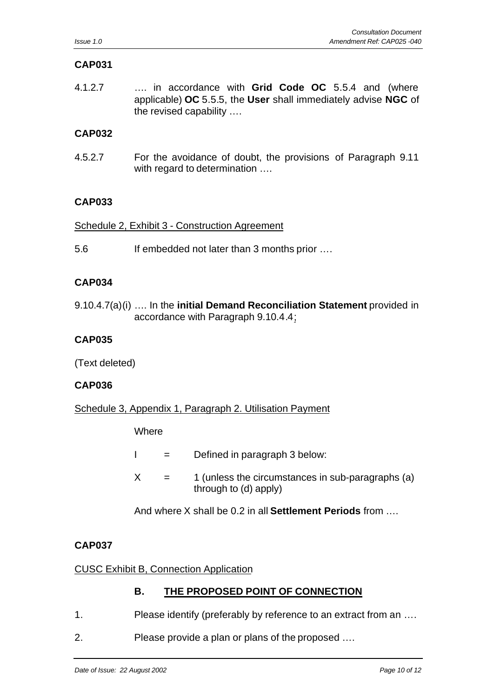4.1.2.7 …. in accordance with **Grid Code OC** 5.5.4 and (where applicable) **OC** 5.5.5, the **User** shall immediately advise **NGC** of the revised capability ….

## **CAP032**

4.5.2.7 For the avoidance of doubt, the provisions of Paragraph 9.11 with regard to determination ....

## **CAP033**

Schedule 2, Exhibit 3 - Construction Agreement

5.6 If embedded not later than 3 months prior ….

## **CAP034**

9.10.4.7(a)(i) …. In the **initial Demand Reconciliation Statement** provided in accordance with Paragraph 9.10.4.4;

## **CAP035**

(Text deleted)

## **CAP036**

Schedule 3, Appendix 1, Paragraph 2. Utilisation Payment

**Where** 

- $I =$  Defined in paragraph 3 below:
- $X = 1$  (unless the circumstances in sub-paragraphs (a) through to (d) apply)

And where X shall be 0.2 in all **Settlement Periods** from ….

## **CAP037**

## CUSC Exhibit B, Connection Application

## **B. THE PROPOSED POINT OF CONNECTION**

- 1. Please identify (preferably by reference to an extract from an ….
- 2. Please provide a plan or plans of the proposed ….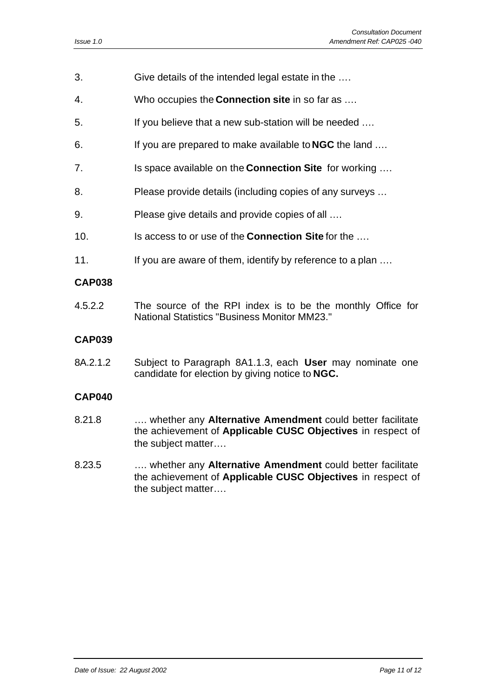- 3. Give details of the intended legal estate in the ….
- 4. Who occupies the **Connection site** in so far as ….
- 5. If you believe that a new sub-station will be needed ….
- 6. If you are prepared to make available to **NGC** the land ….
- 7. Is space available on the **Connection Site** for working ….
- 8. Please provide details (including copies of any surveys …
- 9. Please give details and provide copies of all ….
- 10. Is access to or use of the **Connection Site** for the ….
- 11. If you are aware of them, identify by reference to a plan ....

4.5.2.2 The source of the RPI index is to be the monthly Office for National Statistics "Business Monitor MM23."

#### **CAP039**

8A.2.1.2 Subject to Paragraph 8A1.1.3, each **User** may nominate one candidate for election by giving notice to **NGC.**

#### **CAP040**

- 8.21.8 …. whether any **Alternative Amendment** could better facilitate the achievement of **Applicable CUSC Objectives** in respect of the subject matter….
- 8.23.5 …. whether any **Alternative Amendment** could better facilitate the achievement of **Applicable CUSC Objectives** in respect of the subject matter….